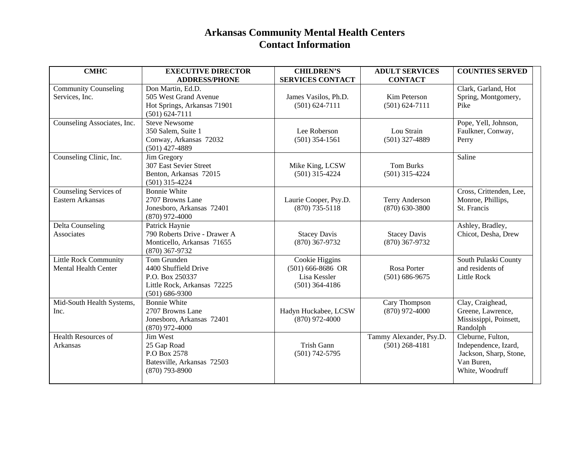## **Arkansas Community Mental Health Centers Contact Information**

| <b>CMHC</b>                                                 | <b>EXECUTIVE DIRECTOR</b><br><b>ADDRESS/PHONE</b>                                                         | <b>CHILDREN'S</b><br><b>SERVICES CONTACT</b>                              | <b>ADULT SERVICES</b><br><b>CONTACT</b>     | <b>COUNTIES SERVED</b>                                                                               |
|-------------------------------------------------------------|-----------------------------------------------------------------------------------------------------------|---------------------------------------------------------------------------|---------------------------------------------|------------------------------------------------------------------------------------------------------|
| <b>Community Counseling</b><br>Services, Inc.               | Don Martin, Ed.D.<br>505 West Grand Avenue<br>Hot Springs, Arkansas 71901<br>$(501) 624 - 7111$           | James Vasilos, Ph.D.<br>$(501) 624 - 7111$                                | Kim Peterson<br>$(501) 624 - 7111$          | Clark, Garland, Hot<br>Spring, Montgomery,<br>Pike                                                   |
| Counseling Associates, Inc.                                 | <b>Steve Newsome</b><br>350 Salem, Suite 1<br>Conway, Arkansas 72032<br>$(501)$ 427-4889                  | Lee Roberson<br>$(501)$ 354-1561                                          | Lou Strain<br>$(501)$ 327-4889              | Pope, Yell, Johnson,<br>Faulkner, Conway,<br>Perry                                                   |
| Counseling Clinic, Inc.                                     | Jim Gregory<br>307 East Sevier Street<br>Benton, Arkansas 72015<br>$(501)$ 315-4224                       | Mike King, LCSW<br>$(501)$ 315-4224                                       | <b>Tom Burks</b><br>$(501)$ 315-4224        | Saline                                                                                               |
| Counseling Services of<br>Eastern Arkansas                  | <b>Bonnie White</b><br>2707 Browns Lane<br>Jonesboro, Arkansas 72401<br>$(870)$ 972-4000                  | Laurie Cooper, Psy.D.<br>$(870)$ 735-5118                                 | <b>Terry Anderson</b><br>$(870) 630 - 3800$ | Cross, Crittenden, Lee,<br>Monroe, Phillips,<br>St. Francis                                          |
| Delta Counseling<br>Associates                              | Patrick Haynie<br>790 Roberts Drive - Drawer A<br>Monticello, Arkansas 71655<br>$(870)$ 367-9732          | <b>Stacey Davis</b><br>$(870)$ 367-9732                                   | <b>Stacey Davis</b><br>$(870)$ 367-9732     | Ashley, Bradley,<br>Chicot, Desha, Drew                                                              |
| <b>Little Rock Community</b><br><b>Mental Health Center</b> | Tom Grunden<br>4400 Shuffield Drive<br>P.O. Box 250337<br>Little Rock, Arkansas 72225<br>$(501) 686-9300$ | Cookie Higgins<br>$(501)$ 666-8686 OR<br>Lisa Kessler<br>$(501)$ 364-4186 | Rosa Porter<br>$(501) 686 - 9675$           | South Pulaski County<br>and residents of<br>Little Rock                                              |
| Mid-South Health Systems,<br>Inc.                           | <b>Bonnie White</b><br>2707 Browns Lane<br>Jonesboro, Arkansas 72401<br>$(870)$ 972-4000                  | Hadyn Huckabee, LCSW<br>$(870)$ 972-4000                                  | Cary Thompson<br>$(870)$ 972-4000           | Clay, Craighead,<br>Greene, Lawrence,<br>Mississippi, Poinsett,<br>Randolph                          |
| <b>Health Resources of</b><br>Arkansas                      | Jim West<br>25 Gap Road<br>P.O Box 2578<br>Batesville, Arkansas 72503<br>$(870)$ 793-8900                 | Trish Gann<br>$(501) 742 - 5795$                                          | Tammy Alexander, Psy.D.<br>$(501)$ 268-4181 | Cleburne, Fulton,<br>Independence, Izard,<br>Jackson, Sharp, Stone,<br>Van Buren,<br>White, Woodruff |